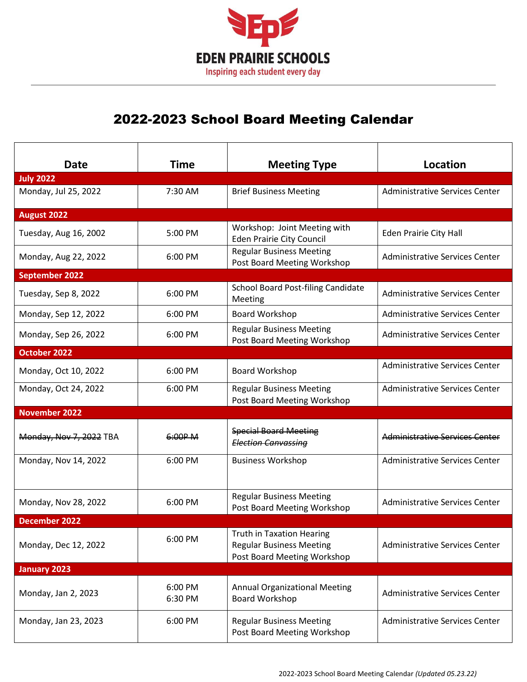

## 2022-2023 School Board Meeting Calendar

| <b>Date</b><br><b>July 2022</b> | <b>Time</b>        | <b>Meeting Type</b>                                                                                | Location                              |
|---------------------------------|--------------------|----------------------------------------------------------------------------------------------------|---------------------------------------|
| Monday, Jul 25, 2022            | $7:30$ AM          | <b>Brief Business Meeting</b>                                                                      | Administrative Services Center        |
| August 2022                     |                    |                                                                                                    |                                       |
| Tuesday, Aug 16, 2002           | 5:00 PM            | Workshop: Joint Meeting with<br><b>Eden Prairie City Council</b>                                   | Eden Prairie City Hall                |
| Monday, Aug 22, 2022            | 6:00 PM            | <b>Regular Business Meeting</b><br>Post Board Meeting Workshop                                     | Administrative Services Center        |
| <b>September 2022</b>           |                    |                                                                                                    |                                       |
| Tuesday, Sep 8, 2022            | 6:00 PM            | <b>School Board Post-filing Candidate</b><br>Meeting                                               | Administrative Services Center        |
| Monday, Sep 12, 2022            | 6:00 PM            | Board Workshop                                                                                     | Administrative Services Center        |
| Monday, Sep 26, 2022            | 6:00 PM            | <b>Regular Business Meeting</b><br>Post Board Meeting Workshop                                     | Administrative Services Center        |
| October 2022                    |                    |                                                                                                    |                                       |
| Monday, Oct 10, 2022            | 6:00 PM            | <b>Board Workshop</b>                                                                              | <b>Administrative Services Center</b> |
| Monday, Oct 24, 2022            | 6:00 PM            | <b>Regular Business Meeting</b><br>Post Board Meeting Workshop                                     | Administrative Services Center        |
| <b>November 2022</b>            |                    |                                                                                                    |                                       |
| Monday, Nov 7, 2022 TBA         | 6:00P M            | <b>Special Board Meeting</b><br><b>Election Canvassing</b>                                         | Administrative Services Center        |
| Monday, Nov 14, 2022            | 6:00 PM            | <b>Business Workshop</b>                                                                           | Administrative Services Center        |
| Monday, Nov 28, 2022            | 6:00 PM            | <b>Regular Business Meeting</b><br>Post Board Meeting Workshop                                     | <b>Administrative Services Center</b> |
| <b>December 2022</b>            |                    |                                                                                                    |                                       |
| Monday, Dec 12, 2022            | 6:00 PM            | <b>Truth in Taxation Hearing</b><br><b>Regular Business Meeting</b><br>Post Board Meeting Workshop | <b>Administrative Services Center</b> |
| <b>January 2023</b>             |                    |                                                                                                    |                                       |
| Monday, Jan 2, 2023             | 6:00 PM<br>6:30 PM | <b>Annual Organizational Meeting</b><br>Board Workshop                                             | Administrative Services Center        |
| Monday, Jan 23, 2023            | 6:00 PM            | <b>Regular Business Meeting</b><br>Post Board Meeting Workshop                                     | <b>Administrative Services Center</b> |